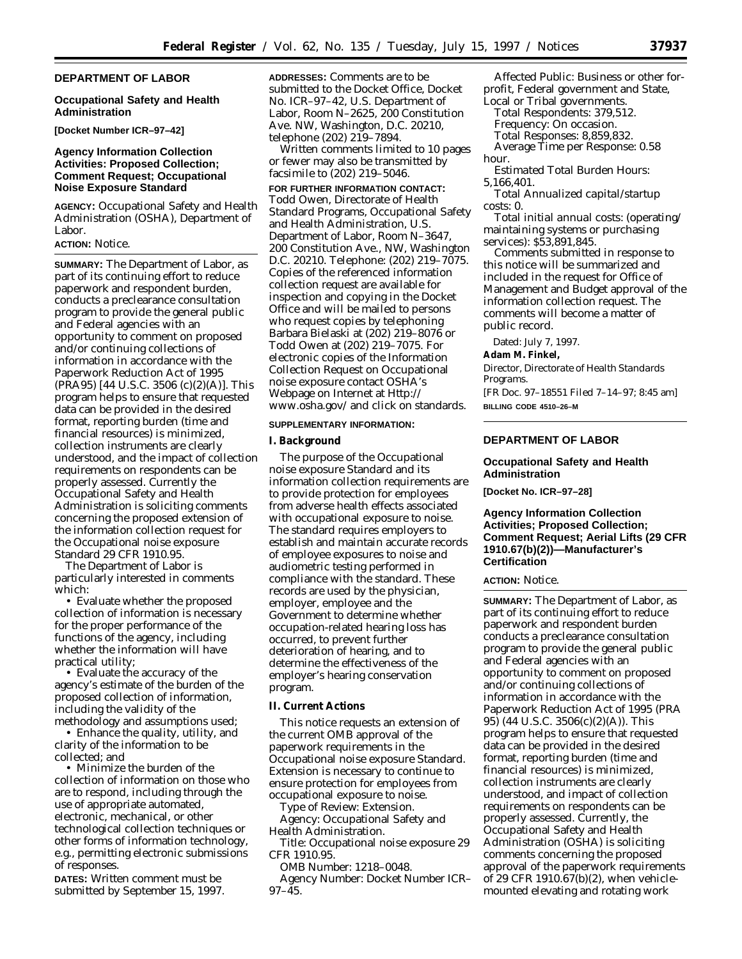### **DEPARTMENT OF LABOR**

### **Occupational Safety and Health Administration**

**[Docket Number ICR–97–42]**

## **Agency Information Collection Activities: Proposed Collection; Comment Request; Occupational Noise Exposure Standard**

**AGENCY:** Occupational Safety and Health Administration (OSHA), Department of Labor.

### **ACTION:** Notice.

**SUMMARY:** The Department of Labor, as part of its continuing effort to reduce paperwork and respondent burden, conducts a preclearance consultation program to provide the general public and Federal agencies with an opportunity to comment on proposed and/or continuing collections of information in accordance with the Paperwork Reduction Act of 1995 (PRA95) [44 U.S.C. 3506 (c)(2)(A)]. This program helps to ensure that requested data can be provided in the desired format, reporting burden (time and financial resources) is minimized, collection instruments are clearly understood, and the impact of collection requirements on respondents can be properly assessed. Currently the Occupational Safety and Health Administration is soliciting comments concerning the proposed extension of the information collection request for the Occupational noise exposure Standard 29 CFR 1910.95.

The Department of Labor is particularly interested in comments which:

• Evaluate whether the proposed collection of information is necessary for the proper performance of the functions of the agency, including whether the information will have practical utility;

• Evaluate the accuracy of the agency's estimate of the burden of the proposed collection of information, including the validity of the methodology and assumptions used;

• Enhance the quality, utility, and clarity of the information to be collected; and

• Minimize the burden of the collection of information on those who are to respond, including through the use of appropriate automated, electronic, mechanical, or other technological collection techniques or other forms of information technology, e.g., permitting electronic submissions of responses.

**DATES:** Written comment must be submitted by September 15, 1997. **ADDRESSES:** Comments are to be submitted to the Docket Office, Docket No. ICR–97–42, U.S. Department of Labor, Room N–2625, 200 Constitution Ave. NW, Washington, D.C. 20210, telephone (202) 219–7894.

Written comments limited to 10 pages or fewer may also be transmitted by facsimile to (202) 219–5046.

**FOR FURTHER INFORMATION CONTACT:** Todd Owen, Directorate of Health Standard Programs, Occupational Safety and Health Administration, U.S. Department of Labor, Room N–3647, 200 Constitution Ave., NW, Washington D.C. 20210. Telephone: (202) 219–7075. Copies of the referenced information collection request are available for inspection and copying in the Docket Office and will be mailed to persons who request copies by telephoning Barbara Bielaski at (202) 219–8076 or Todd Owen at (202) 219–7075. For electronic copies of the Information Collection Request on Occupational noise exposure contact OSHA's Webpage on Internet at Http:// www.osha.gov/ and click on standards.

#### **SUPPLEMENTARY INFORMATION:**

#### **I. Background**

The purpose of the Occupational noise exposure Standard and its information collection requirements are to provide protection for employees from adverse health effects associated with occupational exposure to noise. The standard requires employers to establish and maintain accurate records of employee exposures to noise and audiometric testing performed in compliance with the standard. These records are used by the physician, employer, employee and the Government to determine whether occupation-related hearing loss has occurred, to prevent further deterioration of hearing, and to determine the effectiveness of the employer's hearing conservation program.

#### **II. Current Actions**

This notice requests an extension of the current OMB approval of the paperwork requirements in the Occupational noise exposure Standard. Extension is necessary to continue to ensure protection for employees from occupational exposure to noise.

*Type of Review:* Extension.

*Agency:* Occupational Safety and Health Administration.

*Title:* Occupational noise exposure 29 CFR 1910.95.

*OMB Number:* 1218–0048.

*Agency Number:* Docket Number ICR– 97–45.

*Affected Public:* Business or other forprofit, Federal government and State, Local or Tribal governments.

*Total Respondents:* 379,512. *Frequency:* On occasion. *Total Responses:* 8,859,832. *Average Time per Response:* 0.58 hour.

*Estimated Total Burden Hours:* 5,166,401.

*Total Annualized capital/startup costs:* 0.

*Total initial annual costs:* (operating/ maintaining systems or purchasing services): \$53,891,845.

Comments submitted in response to this notice will be summarized and included in the request for Office of Management and Budget approval of the information collection request. The comments will become a matter of public record.

Dated: July 7, 1997.

### **Adam M. Finkel,**

*Director, Directorate of Health Standards Programs.* [FR Doc. 97–18551 Filed 7–14–97; 8:45 am]

**BILLING CODE 4510–26–M**

### **DEPARTMENT OF LABOR**

#### **Occupational Safety and Health Administration**

**[Docket No. ICR–97–28]**

## **Agency Information Collection Activities; Proposed Collection; Comment Request; Aerial Lifts (29 CFR 1910.67(b)(2))—Manufacturer's Certification**

### **ACTION:** Notice.

**SUMMARY:** The Department of Labor, as part of its continuing effort to reduce paperwork and respondent burden conducts a preclearance consultation program to provide the general public and Federal agencies with an opportunity to comment on proposed and/or continuing collections of information in accordance with the Paperwork Reduction Act of 1995 (PRA 95) (44 U.S.C. 3506(c)(2)(A)). This program helps to ensure that requested data can be provided in the desired format, reporting burden (time and financial resources) is minimized, collection instruments are clearly understood, and impact of collection requirements on respondents can be properly assessed. Currently, the Occupational Safety and Health Administration (OSHA) is soliciting comments concerning the proposed approval of the paperwork requirements of 29 CFR 1910.67(b)(2), when vehiclemounted elevating and rotating work